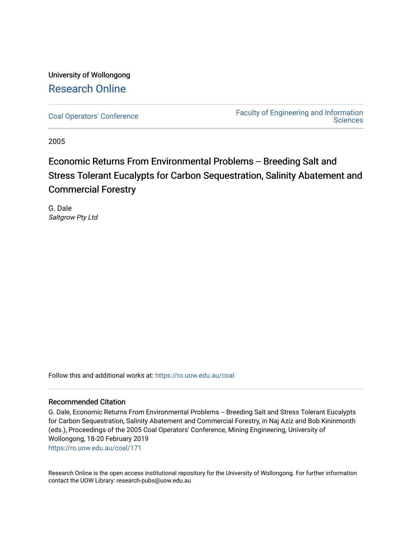## University of Wollongong [Research Online](https://ro.uow.edu.au/)

[Coal Operators' Conference](https://ro.uow.edu.au/coal) [Faculty of Engineering and Information](https://ro.uow.edu.au/eis)  **Sciences** 

2005

# Economic Returns From Environmental Problems -- Breeding Salt and Stress Tolerant Eucalypts for Carbon Sequestration, Salinity Abatement and Commercial Forestry

G. Dale Saltgrow Pty Ltd

Follow this and additional works at: [https://ro.uow.edu.au/coal](https://ro.uow.edu.au/coal?utm_source=ro.uow.edu.au%2Fcoal%2F171&utm_medium=PDF&utm_campaign=PDFCoverPages) 

## Recommended Citation

G. Dale, Economic Returns From Environmental Problems -- Breeding Salt and Stress Tolerant Eucalypts for Carbon Sequestration, Salinity Abatement and Commercial Forestry, in Naj Aziz and Bob Kininmonth (eds.), Proceedings of the 2005 Coal Operators' Conference, Mining Engineering, University of Wollongong, 18-20 February 2019 [https://ro.uow.edu.au/coal/171](https://ro.uow.edu.au/coal/171?utm_source=ro.uow.edu.au%2Fcoal%2F171&utm_medium=PDF&utm_campaign=PDFCoverPages) 

Research Online is the open access institutional repository for the University of Wollongong. For further information contact the UOW Library: research-pubs@uow.edu.au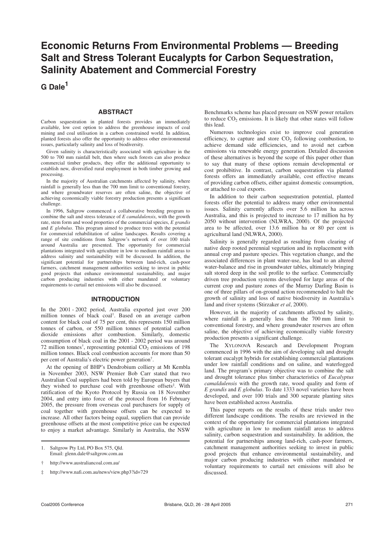## **Economic Returns From Environmental Problems — Breeding Salt and Stress Tolerant Eucalypts for Carbon Sequestration, Salinity Abatement and Commercial Forestry**

**G Dale<sup>1</sup>**

#### **ABSTRACT**

Carbon sequestration in planted forests provides an immediately available, low cost option to address the greenhouse impacts of coal mining and coal utilisation in a carbon constrained world. In addition, planted forests also offer the opportunity to address other environmental issues, particularly salinity and loss of biodiversity.

Given salinity is characteristically associated with agriculture in the 500 to 700 mm rainfall belt, then where such forests can also produce commercial timber products, they offer the additional opportunity to establish new, diversified rural employment in both timber growing and processing.

In the majority of Australian catchments affected by salinity, where rainfall is generally less than the 700 mm limit to conventional forestry, and where groundwater reserves are often saline, the objective of achieving economically viable forestry production presents a significant challenge.

In 1996, Saltgrow commenced a collaborative breeding program to combine the salt and stress tolerance of *E camaldulensis*, with the growth rate, stem form and wood properties of the commercial species, *E grandis* and *E globulus*. This program aimed to produce trees with the potential for commercial rehabilitation of saline landscapes. Results covering a range of site conditions from Saltgrow's network of over 100 trials around Australia are presented. The opportunity for commercial plantations integrated with agriculture in low to medium rainfall areas to address salinity and sustainability will be discussed. In addition, the significant potential for partnerships between land-rich, cash-poor farmers, catchment management authorities seeking to invest in public good projects that enhance environmental sustainability, and major carbon producing industries with either mandated or voluntary requirements to curtail net emissions will also be discussed.

### **INTRODUCTION**

In the 2001 - 2002 period, Australia exported just over 200 million tonnes of black coal† . Based on an average carbon content for black coal of 75 per cent, this represents 150 million tonnes of carbon, or 550 million tonnes of potential carbon dioxide emissions after combustion. Similarly, domestic consumption of black coal in the 2001 - 2002 period was around 72 million tonnes<sup>†</sup>, representing potential  $CO_2$  emissions of 198 million tonnes. Black coal combustion accounts for more than 50 per cent of Australia's electric power generation† .

At the opening of BHP's Dendrobium colliery at Mt Kembla in November 2003, NSW Premier Bob Carr stated that two Australian Coal suppliers had been told by European buyers that they wished to purchase coal with greenhouse offsets<sup>‡</sup>. With ratification of the Kyoto Protocol by Russia on 18 November 2004, and entry into force of the protocol from 16 February 2005, the pressure from overseas coal purchasers for supply of coal together with greenhouse offsets can be expected to increase. All other factors being equal, suppliers that can provide greenhouse offsets at the most competitive price can be expected to enjoy a market advantage. Similarly in Australia, the NSW

‡ http://www.nafi.com.au/news/view.php3?id=729

Benchmarks scheme has placed pressure on NSW power retailers to reduce  $CO<sub>2</sub>$  emissions. It is likely that other states will follow this lead.

Numerous technologies exist to improve coal generation efficiency, to capture and store  $CO<sub>2</sub>$  following combustion, to achieve demand side efficiencies, and to avoid net carbon emissions via renewable energy generation. Detailed discussion of these alternatives is beyond the scope of this paper other than to say that many of these options remain developmental or cost prohibitive. In contrast, carbon sequestration via planted forests offers an immediately available, cost effective means of providing carbon offsets, either against domestic consumption, or attached to coal exports.

In addition to their carbon sequestration potential, planted forests offer the potential to address many other environmental issues. Salinity currently affects over 5.6 million ha across Australia, and this is projected to increase to 17 million ha by 2050 without intervention (NLWRA, 2000). Of the projected area to be affected, over 13.6 million ha or 80 per cent is agricultural land (NLWRA, 2000).

Salinity is generally regarded as resulting from clearing of native deep rooted perennial vegetation and its replacement with annual crop and pasture species. This vegetation change, and the associated differences in plant water-use, has lead to an altered water-balance and rise in groundwater tables, ultimately bringing salt stored deep in the soil profile to the surface. Commercially driven tree production systems developed for large areas of the current crop and pasture zones of the Murray Darling Basin is one of three pillars of on-ground action recommended to halt the growth of salinity and loss of native biodiversity in Australia's land and river systems (Stirzaker *et al*, 2000).

However, in the majority of catchments affected by salinity, where rainfall is generally less than the 700 mm limit to conventional forestry, and where groundwater reserves are often saline, the objective of achieving economically viable forestry production presents a significant challenge.

The XYLONOVA Research and Development Program commenced in 1996 with the aim of developing salt and drought tolerant eucalypt hybrids for establishing commercial plantations under low rainfall conditions and on saline, and waterlogged land. The program's primary objective was to combine the salt and drought tolerance plus timber characteristics of *Eucalyptus camaldulensis* with the growth rate, wood quality and form of *E grandis* and *E globulus*. To date 1333 novel varieties have been developed, and over 100 trials and 300 separate planting sites have been established across Australia.

This paper reports on the results of these trials under two different landscape conditions. The results are reviewed in the context of the opportunity for commercial plantations integrated with agriculture in low to medium rainfall areas to address salinity, carbon sequestration and sustainability. In addition, the potential for partnerships among land-rich, cash-poor farmers, catchment management authorities seeking to invest in public good projects that enhance environmental sustainability, and major carbon producing industries with either mandated or voluntary requirements to curtail net emissions will also be discussed.

<sup>1.</sup> Saltgrow Pty Ltd, PO Box 575, Qld. Email: glenn.dale@saltgrow.com.au

<sup>†</sup> http://www.australiancoal.com.au/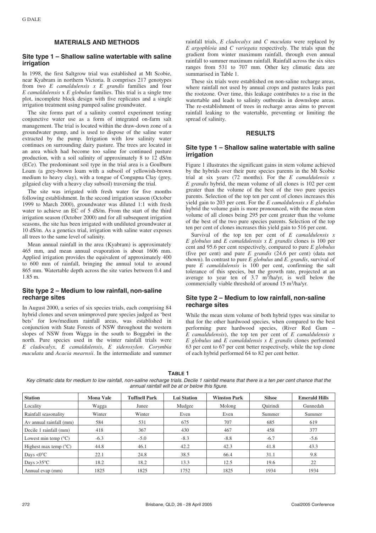### **MATERIALS AND METHODS**

## **Site type 1 – Shallow saline watertable with saline irrigation**

In 1998, the first Saltgrow trial was established at Mt Scobie, near Kyabram in northern Victoria. It comprises 217 genotypes from two *E camaldulensis x E grandis* families and four *E camaldulensis* x *E globulus* families. This trial is a single tree plot, incomplete block design with five replicates and a single irrigation treatment using pumped saline groundwater.

The site forms part of a salinity control experiment testing conjunctive water use as a form of integrated on-farm salt management. The trial is located within the draw-down zone of a groundwater pump, and is used to dispose of the saline water extracted by the pump. Irrigation with low salinity water continues on surrounding dairy pasture. The trees are located in an area which had become too saline for continued pasture production, with a soil salinity of approximately 8 to 12 dS/m (ECe). The predominant soil type in the trial area is a Goulburn Loam (a grey-brown loam with a subsoil of yellowish-brown medium to heavy clay), with a tongue of Congupna Clay (grey, gilgaied clay with a heavy clay subsoil) traversing the trial.

The site was irrigated with fresh water for five months following establishment. In the second irrigation season (October 1999 to March 2000), groundwater was diluted 1:1 with fresh water to achieve an EC of 5 dS/m. From the start of the third irrigation season (October 2000) and for all subsequent irrigation seasons, the site has been irrigated with undiluted groundwater at 10 dS/m. As a genetics trial, irrigation with saline water exposes all trees to the same level of salinity.

Mean annual rainfall in the area (Kyabram) is approximately 465 mm, and mean annual evaporation is about 1606 mm. Applied irrigation provides the equivalent of approximately 400 to 600 mm of rainfall, bringing the annual total to around 865 mm. Watertable depth across the site varies between 0.4 and 1.85 m.

#### **Site type 2 – Medium to low rainfall, non-saline recharge sites**

In August 2000, a series of six species trials, each comprising 84 hybrid clones and seven unimproved pure species judged as 'best bets' for low/medium rainfall areas, was established in conjunction with State Forests of NSW throughout the western slopes of NSW from Wagga in the south to Boggabri in the north. Pure species used in the winter rainfall trials were *E cladocalyx*, *E camaldulensis*, *E sideroxylon*. *Corymbia maculata* and *Acacia mearnsii*. In the intermediate and summer rainfall trials, *E cladocalyx* and *C maculata* were replaced by *E argophloia* and *C variegata* respectively. The trials span the gradient from winter maximum rainfall, through even annual rainfall to summer maximum rainfall. Rainfall across the six sites ranges from 531 to 707 mm. Other key climatic data are summarised in Table 1.

These six trials were established on non-saline recharge areas, where rainfall not used by annual crops and pastures leaks past the rootzone. Over time, this leakage contributes to a rise in the watertable and leads to salinity outbreaks in downslope areas. The re-establishment of trees in recharge areas aims to prevent rainfall leaking to the watertable, preventing or limiting the spread of salinity.

## **RESULTS**

#### **Site type 1 – Shallow saline watertable with saline irrigation**

Figure 1 illustrates the significant gains in stem volume achieved by the hybrids over their pure species parents in the Mt Scobie trial at six years (72 months). For the *E camaldulensis x E grandis* hybrid, the mean volume of all clones is 102 per cent greater than the volume of the best of the two pure species parents. Selection of the top ten per cent of clones increases this yield gain to 203 per cent. For the *E camaldulensis x E globulus* hybrid the volume gain is more pronounced, with the mean stem volume of all clones being 295 per cent greater than the volume of the best of the two pure species parents. Selection of the top ten per cent of clones increases this yield gain to 516 per cent.

Survival of the top ten per cent of *E camaldulensis x E globulus* and *E camaldulensis x E grandis* clones is 100 per cent and 95.6 per cent respectively, compared to pure *E globulus* (five per cent) and pure *E grandis* (24.6 per cent) (data not shown). In contrast to pure *E globulus* and *E. grandis*, survival of pure *E camaldulensis* is 100 per cent, confirming the salt tolerance of this species, but the growth rate, projected at an average to year ten of  $3.7 \text{ m}^3/\text{h}$ a/yr, is well below the commercially viable threshold of around 15 m<sup>3</sup>/ha/yr.

#### **Site type 2 – Medium to low rainfall, non-saline recharge sites**

While the mean stem volume of both hybrid types was similar to that for the other hardwood species, when compared to the best performing pure hardwood species, (River Red Gum – *E camaldulensis*), the top ten per cent of *E camaldulensis x E globulus* and *E camaldulensis x E grandis* clones performed 63 per cent to 67 per cent better respectively, while the top clone of each hybrid performed 64 to 82 per cent better.

**TABLE 1**

Key climatic data for medium to low rainfall, non-saline recharge trials. Decile 1 rainfall means that there is a ten per cent chance that the annual rainfall will be at or below this figure.

| <b>Station</b>                 | <b>Mona Vale</b> | <b>Tuffnell Park</b> | <b>Lui Station</b> | <b>Winston Park</b> | <b>Silsoe</b> | <b>Emerald Hills</b> |
|--------------------------------|------------------|----------------------|--------------------|---------------------|---------------|----------------------|
| Locality                       | Wagga            | Junee                | Mudgee             | Molong              | Ouirindi      | Gunnedah             |
| Rainfall seasonality           | Winter           | Winter               | Even               | Even                | Summer        | Summer               |
| Av annual rainfall (mm)        | 584              | 531                  | 675                | 707                 | 685           | 619                  |
| Decile 1 rainfall (mm)         | 418              | 367                  | 430                | 467                 | 458           | 377                  |
| Lowest min temp $(^{\circ}C)$  | $-6.3$           | $-5.0$               | $-8.3$             | $-8.8$              | $-6.7$        | $-5.6$               |
| Highest max temp $(^{\circ}C)$ | 44.8             | 46.1                 | 42.2               | 42.3                | 41.8          | 43.3                 |
| Days $<0$ <sup>o</sup> C       | 22.1             | 24.8                 | 38.5               | 66.4                | 31.1          | 9.8                  |
| Days $>35^{\circ}$ C           | 18.2             | 18.2                 | 13.3               | 12.5                | 19.6          | 22                   |
| Annual evap (mm)               | 1825             | 1825                 | 1752               | 1825                | 1934          | 1934                 |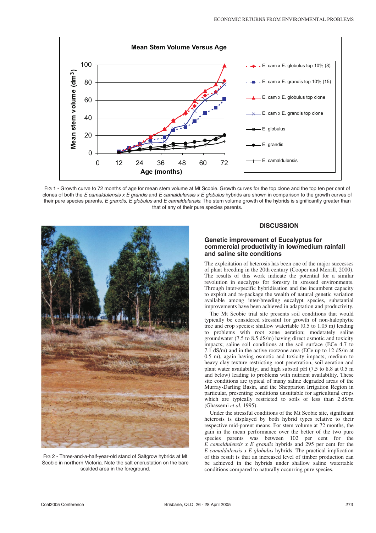

FIG 1 - Growth curve to 72 months of age for mean stem volume at Mt Scobie. Growth curves for the top clone and the top ten per cent of clones of both the E camaldulensis  $x \, E$  grandis and E camaldulensis  $x \, E$  globulus hybrids are shown in comparison to the growth curves of their pure species parents, E grandis, E globulus and E camaldulensis. The stem volume growth of the hybrids is significantly greater than that of any of their pure species parents.



FIG 2 - Three-and-a-half-year-old stand of Saltgrow hybrids at Mt Scobie in northern Victoria. Note the salt encrustation on the bare scalded area in the foreground.

## **DISCUSSION**

#### **Genetic improvement of Eucalyptus for commercial productivity in low/medium rainfall and saline site conditions**

The exploitation of heterosis has been one of the major successes of plant breeding in the 20th century (Cooper and Merrill, 2000). The results of this work indicate the potential for a similar revolution in eucalypts for forestry in stressed environments. Through inter-specific hybridisation and the incumbent capacity to exploit and re-package the wealth of natural genetic variation available among inter-breeding eucalypt species, substantial improvements have been achieved in adaptation and productivity.

The Mt Scobie trial site presents soil conditions that would typically be considered stressful for growth of non-halophytic tree and crop species: shallow watertable (0.5 to 1.05 m) leading to problems with root zone aeration; moderately saline groundwater (7.5 to 8.5 dS/m) having direct osmotic and toxicity impacts; saline soil conditions at the soil surface (ECe 4.7 to 7.1 dS/m) and in the active rootzone area (ECe up to 12 dS/m at 0.5 m), again having osmotic and toxicity impacts; medium to heavy clay texture restricting root penetration, soil aeration and plant water availability; and high subsoil pH (7.5 to 8.8 at 0.5 m and below) leading to problems with nutrient availability. These site conditions are typical of many saline degraded areas of the Murray-Darling Basin, and the Shepparton Irrigation Region in particular, presenting conditions unsuitable for agricultural crops which are typically restricted to soils of less than 2 dS/m (Ghassemi *et al*, 1995).

Under the stressful conditions of the Mt Scobie site, significant heterosis is displayed by both hybrid types relative to their respective mid-parent means. For stem volume at 72 months, the gain in the mean performance over the better of the two pure species parents was between 102 per cent for the *E camaldulensis x E grandis* hybrids and 295 per cent for the *E camaldulensis x E globulus* hybrids. The practical implication of this result is that an increased level of timber production can be achieved in the hybrids under shallow saline watertable conditions compared to naturally occurring pure species.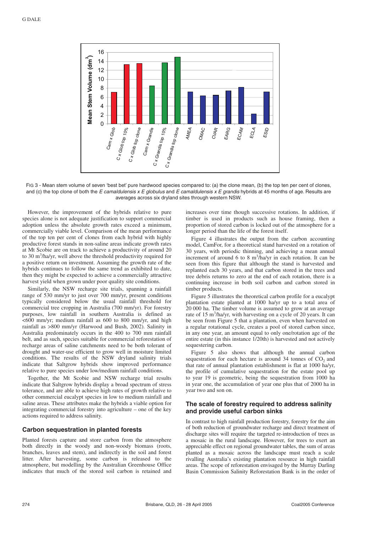

FIG 3 - Mean stem volume of seven 'best bet' pure hardwood species compared to: (a) the clone mean, (b) the top ten per cent of clones, and (c) the top clone of both the E camaldulensis  $x \in$  globulus and E camaldulensis  $x \in$  grandis hybrids at 45 months of age. Results are averages across six dryland sites through western NSW.

However, the improvement of the hybrids relative to pure species alone is not adequate justification to support commercial adoption unless the absolute growth rates exceed a minimum, commercially viable level. Comparison of the mean performance of the top ten per cent of clones from each hybrid with highly productive forest stands in non-saline areas indicate growth rates at Mt Scobie are on track to achieve a productivity of around 20 to 30 m<sup>3</sup>/ha/yr, well above the threshold productivity required for a positive return on investment. Assuming the growth rate of the hybrids continues to follow the same trend as exhibited to date, then they might be expected to achieve a commercially attractive harvest yield when grown under poor quality site conditions.

Similarly, the NSW recharge site trials, spanning a rainfall range of 530 mm/yr to just over 700 mm/yr, present conditions typically considered below the usual rainfall threshold for commercial tree cropping in Australia (700 mm/yr). For forestry purposes, low rainfall in southern Australia is defined as  $<$  600 mm/yr; medium rainfall as 600 to 800 mm/yr, and high rainfall as >800 mm/yr (Harwood and Bush, 2002). Salinity in Australia predominately occurs in the 400 to 700 mm rainfall belt, and as such, species suitable for commercial reforestation of recharge areas of saline catchments need to be both tolerant of drought and water-use efficient to grow well in moisture limited conditions. The results of the NSW dryland salinity trials indicate that Saltgrow hybrids show improved performance relative to pure species under low/medium rainfall conditions.

Together, the Mt Scobie and NSW recharge trial results indicate that Saltgrow hybrids display a broad spectrum of stress tolerance, and are able to achieve high rates of growth relative to other commercial eucalypt species in low to medium rainfall and saline areas. These attributes make the hybrids a viable option for integrating commercial forestry into agriculture – one of the key actions required to address salinity.

#### **Carbon sequestration in planted forests**

Planted forests capture and store carbon from the atmosphere both directly in the woody and non-woody biomass (roots, branches, leaves and stem), and indirectly in the soil and forest litter. After harvesting, some carbon is released to the atmosphere, but modelling by the Australian Greenhouse Office indicates that much of the stored soil carbon is retained and increases over time though successive rotations. In addition, if timber is used in products such as house framing, then a proportion of stored carbon is locked out of the atmosphere for a longer period than the life of the forest itself.

Figure 4 illustrates the output from the carbon accounting model, CamFor, for a theoretical stand harvested on a rotation of 30 years, with periodic thinning, and achieving a mean annual increment of around 6 to 8 m<sup>3</sup>/ha/yr in each rotation. It can be seen from this figure that although the stand is harvested and replanted each 30 years, and that carbon stored in the trees and tree debris returns to zero at the end of each rotation, there is a continuing increase in both soil carbon and carbon stored in timber products.

Figure 5 illustrates the theoretical carbon profile for a eucalypt plantation estate planted at 1000 ha/yr up to a total area of 20 000 ha. The timber volume is assumed to grow at an average rate of 15 m<sup>3</sup>/ha/yr, with harvesting on a cycle of 20 years. It can be seen from Figure 5 that a plantation, even when harvested on a regular rotational cycle, creates a pool of stored carbon since, in any one year, an amount equal to only one/rotation age of the entire estate (in this instance 1/20th) is harvested and not actively sequestering carbon.

Figure 5 also shows that although the annual carbon sequestration for each hectare is around  $34$  tonnes of  $CO<sub>2</sub>$  and that rate of annual plantation establishment is flat at 1000 ha/yr, the profile of cumulative sequestration for the estate pool up to year 19 is geometric, being the sequestration from 1000 ha in year one, the accumulation of year one plus that of 2000 ha in year two and son on.

## **The scale of forestry required to address salinity and provide useful carbon sinks**

In contrast to high rainfall production forestry, forestry for the aim of both reduction of groundwater recharge and direct treatment of discharge sites will require the targeted re-introduction of trees as a mosaic in the rural landscape. However, for trees to exert an appreciable effect on regional groundwater tables, the sum of areas planted as a mosaic across the landscape must reach a scale rivalling Australia's existing plantation resource in high rainfall areas. The scope of reforestation envisaged by the Murray Darling Basin Commission Salinity Reforestation Bank is in the order of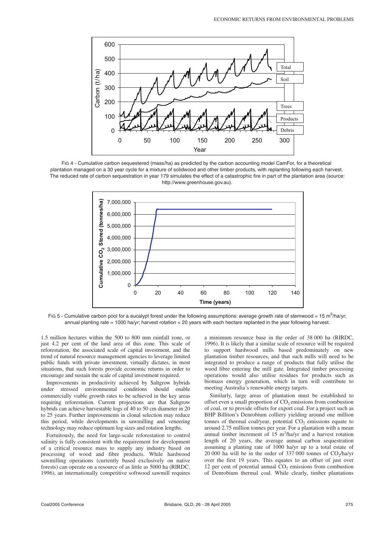

FIG 4 - Cumulative carbon sequestered (mass/ha) as predicted by the carbon accounting model CamFor, for a theoretical plantation managed on a 30 year cycle for a mixture of solidwood and other timber products, with replanting following each harvest. The reduced rate of carbon sequestration in year 179 simulates the effect of a catastrophic fire in part of the plantation area (source: http://www.greenhouse.gov.au).



FIG 5 - Cumulative carbon pool for a eucalypt forest under the following assumptions: average growth rate of stemwood = 15 m<sup>3</sup>/ha/yr; annual planting rate = 1000 ha/yr; harvest rotation = 20 years with each hectare replanted in the year following harvest.

1.5 million hectares within the 500 to 800 mm rainfall zone, or just 4.2 per cent of the land area of this zone. This scale of reforestation, the associated scale of capital investment, and the trend of natural resource management agencies to leverage limited public funds with private investment, virtually dictates, in most situations, that such forests provide economic returns in order to encourage and sustain the scale of capital investment required.

Improvements in productivity achieved by Saltgrow hybrids under stressed environmental conditions should enable commercially viable growth rates to be achieved in the key areas requiring reforestation. Current projections are that Saltgrow hybrids can achieve harvestable logs of 40 to 50 cm diameter in 20 to 25 years. Further improvements in clonal selection may reduce this period, while developments in sawmilling and veneering technology may reduce optimum log sizes and rotation lengths.

Fortuitously, the need for large-scale reforestation to control salinity is fully consistent with the requirement for development of a critical resource mass to supply any industry based on processing of wood and fibre products. While hardwood sawmilling operations (currently based exclusively on native forests) can operate on a resource of as little as 5000 ha (RIRDC, 1996), an internationally competitive softwood sawmill requires a minimum resource base in the order of 38 000 ha (RIRDC, 1996). It is likely that a similar scale of resource will be required to support hardwood mills based predominately on new plantation timber resources, and that such mills will need to be integrated to produce a range of products that fully utilise the wood fibre entering the mill gate. Integrated timber processing operations would also utilise residues for products such as biomass energy generation, which in turn will contribute to meeting Australia's renewable energy targets.

Similarly, large areas of plantation must be established to offset even a small proportion of  $CO<sub>2</sub>$  emissions from combustion of coal, or to provide offsets for export coal. For a project such as BHP Billiton's Denrobium colliery yielding around one million tonnes of thermal coal/year, potential  $CO<sub>2</sub>$  emissions equate to around 2.75 million tonnes per year. For a plantation with a mean annual timber increment of  $15 \text{ m}^3/\text{ha/yr}$  and a harvest rotation length of 20 years, the average annual carbon sequestration assuming a planting rate of 1000 ha/yr up to a total estate of 20 000 ha will be in the order of  $337\,000$  tonnes of  $CO<sub>2</sub>/h$ a/yr over the first 19 years. This equates to an offset of just over 12 per cent of potential annual  $CO<sub>2</sub>$  emissions from combustion of Denrobium thermal coal. While clearly, timber plantations